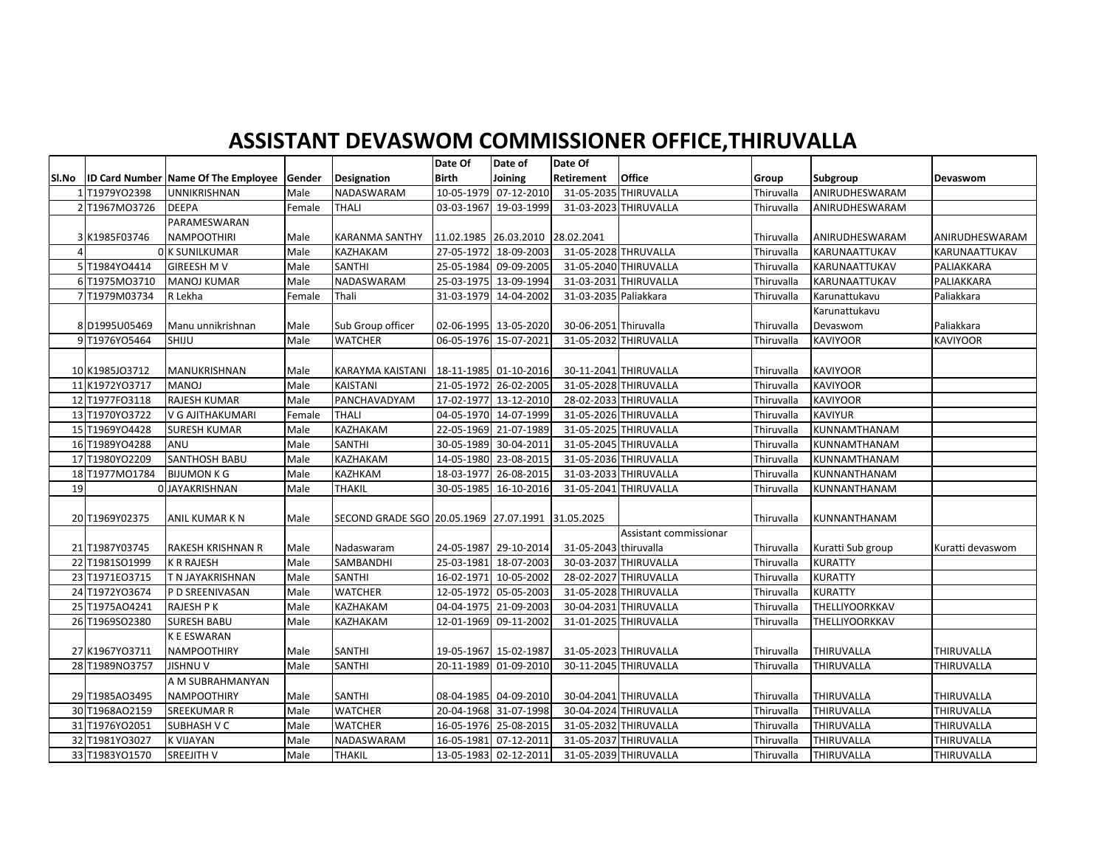## **ASSISTANT DEVASWOM COMMISSIONER OFFICE,THIRUVALLA**

|       |                |                                                   |        |                                                   | Date Of               | Date of               | Date Of               |                        |            |                      |                  |
|-------|----------------|---------------------------------------------------|--------|---------------------------------------------------|-----------------------|-----------------------|-----------------------|------------------------|------------|----------------------|------------------|
| Sl.No |                | <b>ID Card Number Name Of The Employee Gender</b> |        | Designation                                       | <b>Birth</b>          | Joining               | Retirement            | <b>Office</b>          | Group      | Subgroup             | Devaswom         |
|       | 1T1979YO2398   | UNNIKRISHNAN                                      | Male   | <b>NADASWARAM</b>                                 |                       | 10-05-1979 07-12-2010 |                       | 31-05-2035 THIRUVALLA  | Thiruvalla | ANIRUDHESWARAM       |                  |
|       | 2 T1967M03726  | <b>DEEPA</b>                                      | Female | THALI                                             | 03-03-1967            | 19-03-1999            |                       | 31-03-2023 THIRUVALLA  | Thiruvalla | ANIRUDHESWARAM       |                  |
|       |                | PARAMESWARAN                                      |        |                                                   |                       |                       |                       |                        |            |                      |                  |
|       | 3 K1985F03746  | <b>NAMPOOTHIRI</b>                                | Male   | <b>KARANMA SANTHY</b>                             |                       | 11.02.1985 26.03.2010 | 28.02.2041            |                        | Thiruvalla | ANIRUDHESWARAM       | ANIRUDHESWARAM   |
| 4     |                | 0 K SUNILKUMAR                                    | Male   | <b>KAZHAKAM</b>                                   |                       | 27-05-1972 18-09-2003 |                       | 31-05-2028 THRUVALLA   | Thiruvalla | KARUNAATTUKAV        | KARUNAATTUKAV    |
|       | 5 T1984YO4414  | <b>GIREESH M V</b>                                | Male   | <b>SANTHI</b>                                     |                       | 25-05-1984 09-09-2005 |                       | 31-05-2040 THIRUVALLA  | Thiruvalla | <b>KARUNAATTUKAV</b> | PALIAKKARA       |
|       | 6 T1975M03710  | <b>MANOJ KUMAR</b>                                | Male   | NADASWARAM                                        |                       | 25-03-1975 13-09-1994 |                       | 31-03-2031 THIRUVALLA  | Thiruvalla | KARUNAATTUKAV        | PALIAKKARA       |
|       | 7 T1979M03734  | R Lekha                                           | Female | Thali                                             |                       | 31-03-1979 14-04-2002 | 31-03-2035 Paliakkara |                        | Thiruvalla | Karunattukavu        | Paliakkara       |
|       |                |                                                   |        |                                                   |                       |                       |                       |                        |            | Karunattukavu        |                  |
|       | 8 D1995U05469  | Manu unnikrishnan                                 | Male   | Sub Group officer                                 |                       | 02-06-1995 13-05-2020 | 30-06-2051 Thiruvalla |                        | Thiruvalla | Devaswom             | Paliakkara       |
|       | 9 T1976YO5464  | SHIJU                                             | Male   | <b>WATCHER</b>                                    | 06-05-1976 15-07-2021 |                       |                       | 31-05-2032 THIRUVALLA  | Thiruvalla | <b>KAVIYOOR</b>      | <b>KAVIYOOR</b>  |
|       |                |                                                   |        |                                                   |                       |                       |                       |                        |            |                      |                  |
|       | 10 K1985JO3712 | MANUKRISHNAN                                      | Male   | <b>KARAYMA KAISTANI</b>                           |                       | 18-11-1985 01-10-2016 |                       | 30-11-2041 THIRUVALLA  | Thiruvalla | <b>KAVIYOOR</b>      |                  |
|       | 11 K1972YO3717 | <b>MANOJ</b>                                      | Male   | <b>KAISTANI</b>                                   |                       | 21-05-1972 26-02-2005 |                       | 31-05-2028 THIRUVALLA  | Thiruvalla | <b>KAVIYOOR</b>      |                  |
|       | 12 T1977FO3118 | RAJESH KUMAR                                      | Male   | PANCHAVADYAM                                      |                       | 17-02-1977 13-12-2010 |                       | 28-02-2033 THIRUVALLA  | Thiruvalla | <b>KAVIYOOR</b>      |                  |
|       | 13 T1970YO3722 | V G AJITHAKUMARI                                  | Female | <b>THALI</b>                                      |                       | 04-05-1970 14-07-1999 |                       | 31-05-2026 THIRUVALLA  | Thiruvalla | <b>KAVIYUR</b>       |                  |
|       | 15 T1969YO4428 | <b>SURESH KUMAR</b>                               | Male   | KAZHAKAM                                          |                       | 22-05-1969 21-07-1989 |                       | 31-05-2025 THIRUVALLA  | Thiruvalla | KUNNAMTHANAM         |                  |
|       | 16 T1989YO4288 | ANU                                               | Male   | <b>SANTHI</b>                                     | 30-05-1989            | 30-04-2011            |                       | 31-05-2045 THIRUVALLA  | Thiruvalla | KUNNAMTHANAM         |                  |
|       | 17 T1980YO2209 | <b>SANTHOSH BABU</b>                              | Male   | KAZHAKAM                                          | 14-05-1980            | 23-08-2015            |                       | 31-05-2036 THIRUVALLA  | Thiruvalla | KUNNAMTHANAM         |                  |
|       | 18 T1977M01784 | <b>BIJUMON K G</b>                                | Male   | KAZHKAM                                           | 18-03-1977            | 26-08-2015            |                       | 31-03-2033 THIRUVALLA  | Thiruvalla | KUNNANTHANAM         |                  |
| 19    |                | 0 JAYAKRISHNAN                                    | Male   | <b>THAKIL</b>                                     | 30-05-1985            | 16-10-2016            |                       | 31-05-2041 THIRUVALLA  | Thiruvalla | KUNNANTHANAM         |                  |
|       |                |                                                   |        |                                                   |                       |                       |                       |                        |            |                      |                  |
|       | 20 T1969Y02375 | ANIL KUMAR K N                                    | Male   | SECOND GRADE SGO 20.05.1969 27.07.1991 31.05.2025 |                       |                       |                       |                        | Thiruvalla | KUNNANTHANAM         |                  |
|       |                |                                                   |        |                                                   |                       |                       |                       | Assistant commissionar |            |                      |                  |
|       | 21 T1987Y03745 | RAKESH KRISHNAN R                                 | Male   | Nadaswaram                                        |                       | 24-05-1987 29-10-2014 | 31-05-2043 thiruvalla |                        | Thiruvalla | Kuratti Sub group    | Kuratti devaswom |
|       | 22 T1981SO1999 | <b>K R RAJESH</b>                                 | Male   | SAMBANDHI                                         | 25-03-1981            | 18-07-2003            |                       | 30-03-2037 THIRUVALLA  | Thiruvalla | <b>KURATTY</b>       |                  |
|       | 23 T1971EO3715 | T N JAYAKRISHNAN                                  | Male   | <b>SANTHI</b>                                     |                       | 16-02-1971 10-05-2002 |                       | 28-02-2027 THIRUVALLA  | Thiruvalla | <b>KURATTY</b>       |                  |
|       | 24 T1972YO3674 | P D SREENIVASAN                                   | Male   | <b>WATCHER</b>                                    |                       | 12-05-1972 05-05-2003 |                       | 31-05-2028 THIRUVALLA  | Thiruvalla | <b>KURATTY</b>       |                  |
|       | 25 T1975AO4241 | <b>RAJESH P K</b>                                 | Male   | KAZHAKAM                                          |                       | 04-04-1975 21-09-2003 |                       | 30-04-2031 THIRUVALLA  | Thiruvalla | THELLIYOORKKAV       |                  |
|       | 26 T1969SO2380 | <b>SURESH BABU</b>                                | Male   | KAZHAKAM                                          | 12-01-1969            | 09-11-2002            |                       | 31-01-2025 THIRUVALLA  | Thiruvalla | THELLIYOORKKAV       |                  |
|       |                | <b>KE ESWARAN</b>                                 |        |                                                   |                       |                       |                       |                        |            |                      |                  |
|       | 27 K1967YO3711 | NAMPOOTHIRY                                       | Male   | <b>SANTHI</b>                                     |                       | 19-05-1967 15-02-1987 |                       | 31-05-2023 THIRUVALLA  | Thiruvalla | THIRUVALLA           | THIRUVALLA       |
|       | 28 T1989NO3757 | <b>JISHNU V</b>                                   | Male   | <b>SANTHI</b>                                     |                       | 20-11-1989 01-09-2010 |                       | 30-11-2045 THIRUVALLA  | Thiruvalla | <b>THIRUVALLA</b>    | THIRUVALLA       |
|       |                | A M SUBRAHMANYAN                                  |        |                                                   |                       |                       |                       |                        |            |                      |                  |
|       | 29 T1985AO3495 | <b>NAMPOOTHIRY</b>                                | Male   | <b>SANTHI</b>                                     |                       | 08-04-1985 04-09-2010 |                       | 30-04-2041 THIRUVALLA  | Thiruvalla | <b>THIRUVALLA</b>    | THIRUVALLA       |
|       | 30 T1968AO2159 | <b>SREEKUMAR R</b>                                | Male   | <b>WATCHER</b>                                    |                       | 20-04-1968 31-07-1998 |                       | 30-04-2024 THIRUVALLA  | Thiruvalla | <b>THIRUVALLA</b>    | THIRUVALLA       |
|       | 31 T1976YO2051 | SUBHASH V C                                       | Male   | <b>WATCHER</b>                                    |                       | 16-05-1976 25-08-2015 |                       | 31-05-2032 THIRUVALLA  | Thiruvalla | <b>THIRUVALLA</b>    | THIRUVALLA       |
|       | 32 T1981YO3027 | <b>K VIJAYAN</b>                                  | Male   | NADASWARAM                                        |                       | 16-05-1981 07-12-2011 |                       | 31-05-2037 THIRUVALLA  | Thiruvalla | <b>THIRUVALLA</b>    | THIRUVALLA       |
|       | 33 T1983YO1570 | <b>SREEJITH V</b>                                 | Male   | <b>THAKIL</b>                                     |                       | 13-05-1983 02-12-2011 |                       | 31-05-2039 THIRUVALLA  | Thiruvalla | <b>THIRUVALLA</b>    | THIRUVALLA       |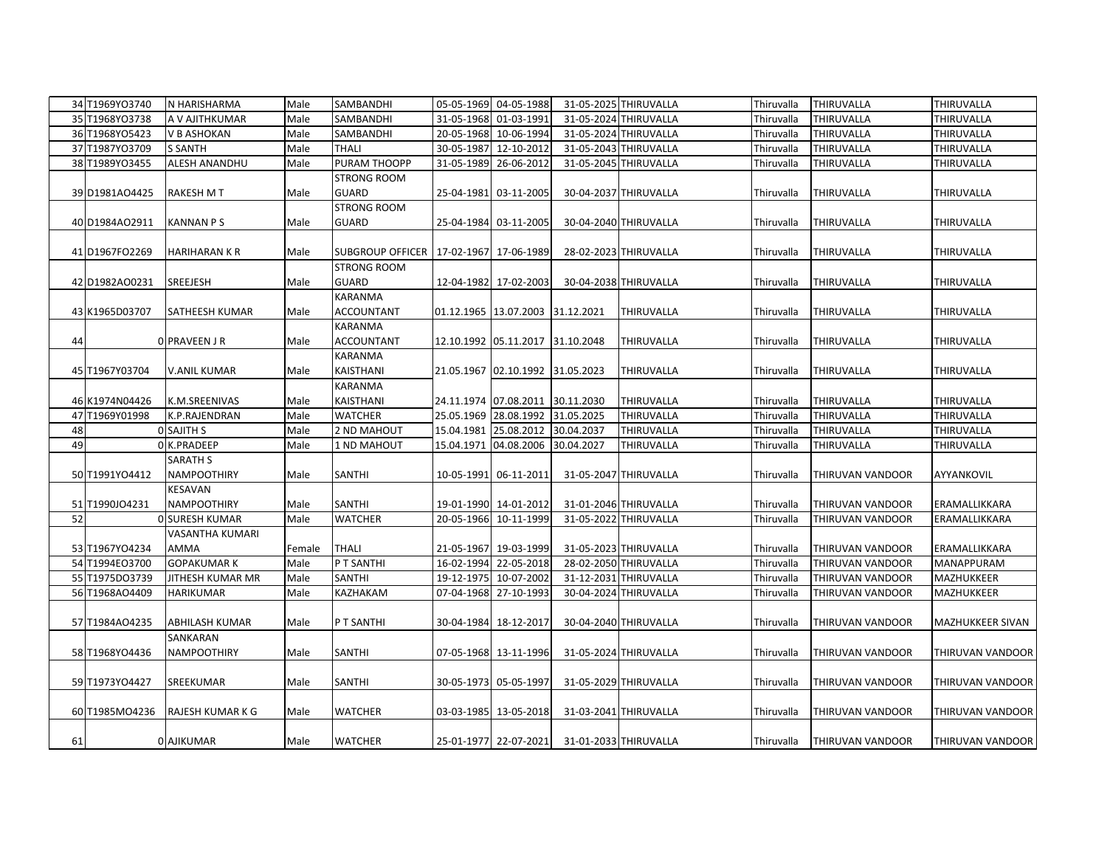|    | 34 T1969YO3740 | N HARISHARMA          | Male   | SAMBANDHI                                  |            | 05-05-1969 04-05-1988                |            | 31-05-2025 THIRUVALLA | Thiruvalla | <b>THIRUVALLA</b>       | THIRUVALLA       |
|----|----------------|-----------------------|--------|--------------------------------------------|------------|--------------------------------------|------------|-----------------------|------------|-------------------------|------------------|
|    | 35 T1968YO3738 | A V AJITHKUMAR        | Male   | SAMBANDHI                                  | 31-05-1968 | 01-03-1991                           |            | 31-05-2024 THIRUVALLA | Thiruvalla | THIRUVALLA              | THIRUVALLA       |
|    | 36 T1968YO5423 | V B ASHOKAN           | Male   | SAMBANDHI                                  | 20-05-1968 | 10-06-1994                           |            | 31-05-2024 THIRUVALLA | Thiruvalla | THIRUVALLA              | THIRUVALLA       |
|    | 37 T1987YO3709 | <b>S SANTH</b>        | Male   | THALI                                      | 30-05-1987 | 12-10-2012                           |            | 31-05-2043 THIRUVALLA | Thiruvalla | THIRUVALLA              | THIRUVALLA       |
|    | 38 T1989YO3455 | <b>ALESH ANANDHU</b>  | Male   | PURAM THOOPP                               | 31-05-1989 | 26-06-2012                           |            | 31-05-2045 THIRUVALLA | Thiruvalla | THIRUVALLA              | THIRUVALLA       |
|    |                |                       |        | <b>STRONG ROOM</b>                         |            |                                      |            |                       |            |                         |                  |
|    | 39 D1981AO4425 | <b>RAKESH M T</b>     | Male   | <b>GUARD</b>                               |            | 25-04-1981 03-11-2005                |            | 30-04-2037 THIRUVALLA | Thiruvalla | THIRUVALLA              | THIRUVALLA       |
|    |                |                       |        | <b>STRONG ROOM</b>                         |            |                                      |            |                       |            |                         |                  |
|    | 40 D1984AO2911 | <b>KANNAN PS</b>      | Male   | <b>GUARD</b>                               |            | 25-04-1984 03-11-2005                |            | 30-04-2040 THIRUVALLA | Thiruvalla | THIRUVALLA              | THIRUVALLA       |
|    |                |                       |        |                                            |            |                                      |            |                       |            |                         |                  |
|    | 41 D1967FO2269 | <b>HARIHARAN K R</b>  | Male   | SUBGROUP OFFICER   17-02-1967   17-06-1989 |            |                                      |            | 28-02-2023 THIRUVALLA | Thiruvalla | THIRUVALLA              | THIRUVALLA       |
|    |                |                       |        | <b>STRONG ROOM</b>                         |            |                                      |            |                       |            |                         |                  |
|    | 42 D1982AO0231 | <b>SREEJESH</b>       | Male   | <b>GUARD</b>                               |            | 12-04-1982 17-02-2003                |            | 30-04-2038 THIRUVALLA | Thiruvalla | THIRUVALLA              | THIRUVALLA       |
|    |                |                       |        | KARANMA                                    |            |                                      |            |                       |            |                         |                  |
|    | 43 K1965D03707 | <b>SATHEESH KUMAR</b> | Male   | ACCOUNTANT                                 |            | 01.12.1965   13.07.2003   31.12.2021 |            | THIRUVALLA            | Thiruvalla | THIRUVALLA              | THIRUVALLA       |
|    |                |                       |        | <b>KARANMA</b>                             |            |                                      |            |                       |            |                         |                  |
| 44 |                | 0 PRAVEEN JR          | Male   | <b>ACCOUNTANT</b>                          |            | 12.10.1992 05.11.2017 31.10.2048     |            | THIRUVALLA            | Thiruvalla | THIRUVALLA              | THIRUVALLA       |
|    |                |                       |        | <b>KARANMA</b>                             |            |                                      |            |                       |            |                         |                  |
|    | 45 T1967Y03704 | <b>V.ANIL KUMAR</b>   | Male   | KAISTHANI                                  |            | 21.05.1967 02.10.1992 31.05.2023     |            | THIRUVALLA            | Thiruvalla | THIRUVALLA              | THIRUVALLA       |
|    |                |                       |        | KARANMA                                    |            |                                      |            |                       |            |                         |                  |
|    | 46 K1974N04426 | K.M.SREENIVAS         | Male   | KAISTHANI                                  |            | 24.11.1974 07.08.2011 30.11.2030     |            | THIRUVALLA            | Thiruvalla | THIRUVALLA              | THIRUVALLA       |
|    | 47 T1969Y01998 | K.P.RAJENDRAN         | Male   | <b>WATCHER</b>                             |            | 25.05.1969 28.08.1992 31.05.2025     |            | THIRUVALLA            | Thiruvalla | THIRUVALLA              | THIRUVALLA       |
| 48 |                | <b>O</b> SAJITH S     | Male   | 2 ND MAHOUT                                |            | 15.04.1981 25.08.2012 30.04.2037     |            | THIRUVALLA            | Thiruvalla | THIRUVALLA              | THIRUVALLA       |
| 49 |                | 0 K.PRADEEP           | Male   | 1 ND MAHOUT                                |            | 15.04.1971 04.08.2006                | 30.04.2027 | THIRUVALLA            | Thiruvalla | THIRUVALLA              | THIRUVALLA       |
|    |                | <b>SARATH S</b>       |        |                                            |            |                                      |            |                       |            |                         |                  |
|    | 50 T1991YO4412 | <b>NAMPOOTHIRY</b>    | Male   | <b>SANTHI</b>                              |            | 10-05-1991 06-11-2011                |            | 31-05-2047 THIRUVALLA | Thiruvalla | THIRUVAN VANDOOR        | AYYANKOVIL       |
|    |                | KESAVAN               |        |                                            |            |                                      |            |                       |            |                         |                  |
|    | 51 T1990JO4231 | NAMPOOTHIRY           | Male   | SANTHI                                     |            | 19-01-1990 14-01-2012                |            | 31-01-2046 THIRUVALLA | Thiruvalla | THIRUVAN VANDOOR        | ERAMALLIKKARA    |
| 52 |                | <b>O SURESH KUMAR</b> | Male   | <b>WATCHER</b>                             | 20-05-1966 | 10-11-1999                           |            | 31-05-2022 THIRUVALLA | Thiruvalla | THIRUVAN VANDOOR        | ERAMALLIKKARA    |
|    |                | VASANTHA KUMARI       |        |                                            |            |                                      |            |                       |            |                         |                  |
|    | 53 T1967YO4234 | AMMA                  | Female | THALI                                      |            | 21-05-1967 19-03-1999                |            | 31-05-2023 THIRUVALLA | Thiruvalla | THIRUVAN VANDOOR        | ERAMALLIKKARA    |
|    | 54 T1994EO3700 | <b>GOPAKUMARK</b>     | Male   | P T SANTHI                                 |            | 16-02-1994 22-05-2018                |            | 28-02-2050 THIRUVALLA | Thiruvalla | THIRUVAN VANDOOR        | MANAPPURAM       |
|    | 55 T1975DO3739 | JITHESH KUMAR MR      | Male   | SANTHI                                     | 19-12-1975 | 10-07-2002                           |            | 31-12-2031 THIRUVALLA | Thiruvalla | THIRUVAN VANDOOR        | MAZHUKKEER       |
|    | 56 T1968AO4409 | <b>HARIKUMAR</b>      | Male   | KAZHAKAM                                   | 07-04-1968 | 27-10-1993                           |            | 30-04-2024 THIRUVALLA | Thiruvalla | THIRUVAN VANDOOR        | MAZHUKKEER       |
|    |                |                       |        |                                            |            |                                      |            |                       |            |                         |                  |
|    | 57 T1984AO4235 | ABHILASH KUMAR        | Male   | P T SANTHI                                 |            | 30-04-1984 18-12-2017                |            | 30-04-2040 THIRUVALLA | Thiruvalla | THIRUVAN VANDOOR        | MAZHUKKEER SIVAN |
|    |                | SANKARAN              |        |                                            |            |                                      |            |                       |            |                         |                  |
|    | 58 T1968YO4436 | <b>NAMPOOTHIRY</b>    | Male   | <b>SANTHI</b>                              |            | 07-05-1968 13-11-1996                |            | 31-05-2024 THIRUVALLA | Thiruvalla | THIRUVAN VANDOOR        | THIRUVAN VANDOOR |
|    |                |                       |        |                                            |            |                                      |            |                       |            |                         |                  |
|    | 59 T1973YO4427 | SREEKUMAR             | Male   | <b>SANTHI</b>                              |            | 30-05-1973 05-05-1997                |            | 31-05-2029 THIRUVALLA | Thiruvalla | THIRUVAN VANDOOR        | THIRUVAN VANDOOR |
|    |                |                       |        |                                            |            |                                      |            |                       |            |                         |                  |
|    | 60 T1985MO4236 | RAJESH KUMAR K G      | Male   | <b>WATCHER</b>                             |            | 03-03-1985 13-05-2018                |            | 31-03-2041 THIRUVALLA | Thiruvalla | THIRUVAN VANDOOR        | THIRUVAN VANDOOR |
|    |                |                       |        |                                            |            |                                      |            |                       |            |                         |                  |
| 61 |                | 0 AJIKUMAR            | Male   | <b>WATCHER</b>                             |            | 25-01-1977 22-07-2021                |            | 31-01-2033 THIRUVALLA | Thiruvalla | <b>THIRUVAN VANDOOR</b> | THIRUVAN VANDOOR |
|    |                |                       |        |                                            |            |                                      |            |                       |            |                         |                  |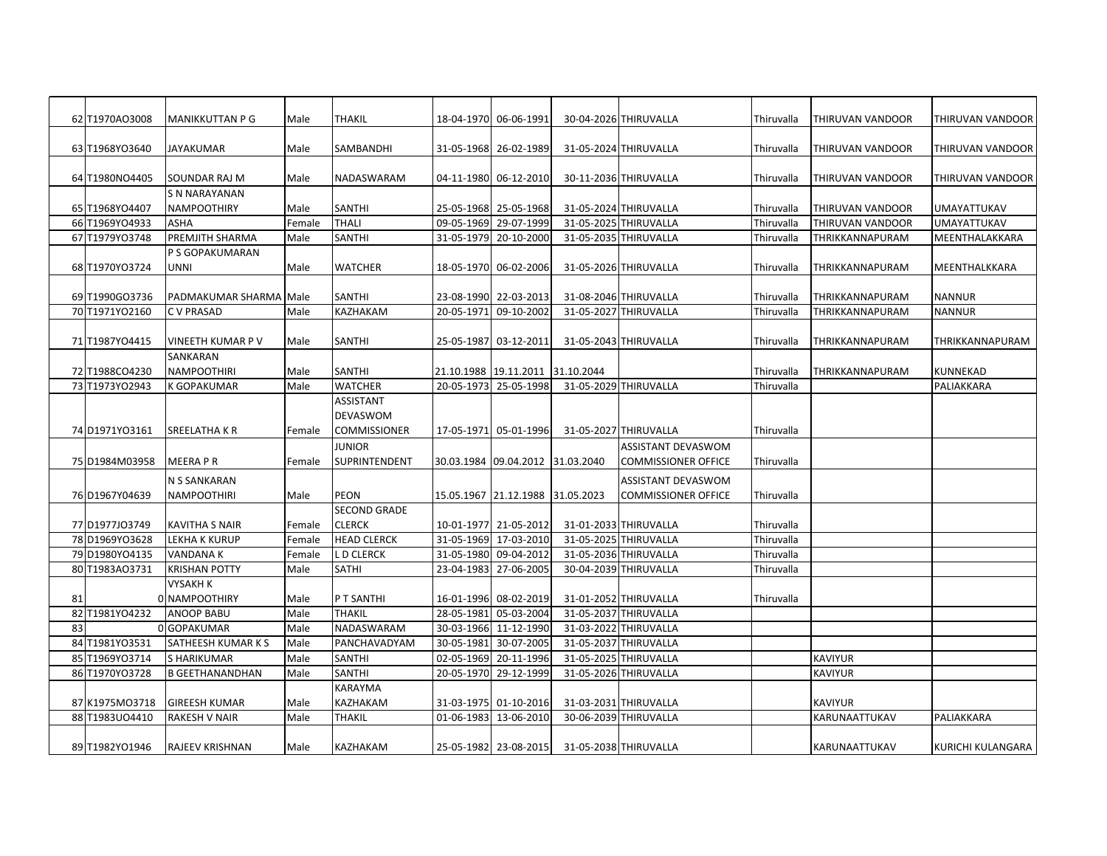|    | 62 T1970AO3008 | <b>MANIKKUTTAN P G</b>        | Male   | <b>THAKIL</b>       |            | 18-04-1970 06-06-1991            | 30-04-2026 THIRUVALLA      | <b>Thiruvalla</b> | THIRUVAN VANDOOR | THIRUVAN VANDOOR   |
|----|----------------|-------------------------------|--------|---------------------|------------|----------------------------------|----------------------------|-------------------|------------------|--------------------|
|    | 63 T1968YO3640 | <b>JAYAKUMAR</b>              | Male   | SAMBANDHI           |            | 31-05-1968 26-02-1989            | 31-05-2024 THIRUVALLA      | Thiruvalla        | THIRUVAN VANDOOR | THIRUVAN VANDOOR   |
|    |                |                               |        |                     |            |                                  |                            |                   |                  |                    |
|    | 64 T1980NO4405 | SOUNDAR RAJ M                 | Male   | NADASWARAM          |            | 04-11-1980 06-12-2010            | 30-11-2036 THIRUVALLA      | Thiruvalla        | THIRUVAN VANDOOR | THIRUVAN VANDOOR   |
|    |                | S N NARAYANAN                 |        |                     |            |                                  |                            |                   |                  |                    |
|    | 65 T1968YO4407 | <b>NAMPOOTHIRY</b>            | Male   | SANTHI              |            | 25-05-1968 25-05-1968            | 31-05-2024 THIRUVALLA      | Thiruvalla        | THIRUVAN VANDOOR | <b>UMAYATTUKAV</b> |
|    | 66 T1969YO4933 | <b>ASHA</b>                   | Female | <b>THALI</b>        |            | 09-05-1969 29-07-1999            | 31-05-2025 THIRUVALLA      | Thiruvalla        | THIRUVAN VANDOOR | <b>UMAYATTUKAV</b> |
|    | 67 T1979YO3748 | PREMJITH SHARMA               | Male   | SANTHI              | 31-05-1979 | 20-10-2000                       | 31-05-2035 THIRUVALLA      | Thiruvalla        | THRIKKANNAPURAM  | MEENTHALAKKARA     |
|    |                | P S GOPAKUMARAN               |        |                     |            |                                  |                            |                   |                  |                    |
|    | 68 T1970YO3724 | UNNI                          | Male   | WATCHER             |            | 18-05-1970 06-02-2006            | 31-05-2026 THIRUVALLA      | Thiruvalla        | THRIKKANNAPURAM  | MEENTHALKKARA      |
|    |                |                               |        |                     |            |                                  |                            |                   |                  |                    |
|    | 69 T1990GO3736 | <b>PADMAKUMAR SHARMA Male</b> |        | <b>SANTHI</b>       |            | 23-08-1990 22-03-2013            | 31-08-2046 THIRUVALLA      | Thiruvalla        | THRIKKANNAPURAM  | <b>NANNUR</b>      |
|    | 70 T1971YO2160 | <b>CV PRASAD</b>              | Male   | KAZHAKAM            |            | 20-05-1971 09-10-2002            | 31-05-2027 THIRUVALLA      | Thiruvalla        | THRIKKANNAPURAM  | <b>NANNUR</b>      |
|    |                |                               |        |                     |            |                                  |                            |                   |                  |                    |
|    | 71 T1987YO4415 | <b>VINEETH KUMAR P V</b>      | Male   | SANTHI              | 25-05-1987 | 03-12-2011                       | 31-05-2043 THIRUVALLA      | Thiruvalla        | THRIKKANNAPURAM  | THRIKKANNAPURAM    |
|    |                | SANKARAN                      |        |                     |            |                                  |                            |                   |                  |                    |
|    | 72 T1988CO4230 | <b>NAMPOOTHIRI</b>            | Male   | SANTHI              |            | 21.10.1988 19.11.2011 31.10.2044 |                            | Thiruvalla        | THRIKKANNAPURAM  | KUNNEKAD           |
|    | 73 T1973YO2943 | <b>K GOPAKUMAR</b>            | Male   | <b>WATCHER</b>      | 20-05-1973 | 25-05-1998                       | 31-05-2029 THIRUVALLA      | Thiruvalla        |                  | PALIAKKARA         |
|    |                |                               |        | <b>ASSISTANT</b>    |            |                                  |                            |                   |                  |                    |
|    |                |                               |        | DEVASWOM            |            |                                  |                            |                   |                  |                    |
|    | 74 D1971YO3161 | <b>SREELATHAKR</b>            | Female | <b>COMMISSIONER</b> |            | 17-05-1971 05-01-1996            | 31-05-2027 THIRUVALLA      | Thiruvalla        |                  |                    |
|    |                |                               |        | JUNIOR              |            |                                  | ASSISTANT DEVASWOM         |                   |                  |                    |
|    | 75 D1984M03958 | <b>MEERA P R</b>              | Female | SUPRINTENDENT       |            | 30.03.1984 09.04.2012 31.03.2040 | <b>COMMISSIONER OFFICE</b> | Thiruvalla        |                  |                    |
|    |                | N S SANKARAN                  |        |                     |            |                                  | <b>ASSISTANT DEVASWOM</b>  |                   |                  |                    |
|    | 76 D1967Y04639 | NAMPOOTHIRI                   | Male   | PEON                |            | 15.05.1967 21.12.1988 31.05.2023 | <b>COMMISSIONER OFFICE</b> | Thiruvalla        |                  |                    |
|    |                |                               |        | <b>SECOND GRADE</b> |            |                                  |                            |                   |                  |                    |
|    | 77 D1977J03749 | KAVITHA S NAIR                | Female | <b>CLERCK</b>       |            | 10-01-1977 21-05-2012            | 31-01-2033 THIRUVALLA      | <b>Thiruvalla</b> |                  |                    |
|    | 78 D1969YO3628 | <b>LEKHA K KURUP</b>          | Female | <b>HEAD CLERCK</b>  |            | 31-05-1969 17-03-2010            | 31-05-2025 THIRUVALLA      | Thiruvalla        |                  |                    |
|    | 79 D1980YO4135 | <b>VANDANA K</b>              | Female | L D CLERCK          | 31-05-1980 | 09-04-2012                       | 31-05-2036 THIRUVALLA      | Thiruvalla        |                  |                    |
|    | 80 T1983AO3731 | <b>KRISHAN POTTY</b>          | Male   | <b>SATHI</b>        | 23-04-1983 | 27-06-2005                       | 30-04-2039 THIRUVALLA      | Thiruvalla        |                  |                    |
|    |                | <b>VYSAKH K</b>               |        |                     |            |                                  |                            |                   |                  |                    |
| 81 |                | 0 NAMPOOTHIRY                 | Male   | P T SANTHI          |            | 16-01-1996 08-02-2019            | 31-01-2052 THIRUVALLA      | Thiruvalla        |                  |                    |
|    | 82 T1981YO4232 | ANOOP BABU                    | Male   | <b>THAKIL</b>       | 28-05-1981 | 05-03-2004                       | 31-05-2037 THIRUVALLA      |                   |                  |                    |
| 83 |                | 0 GOPAKUMAR                   | Male   | NADASWARAM          | 30-03-1966 | 11-12-1990                       | 31-03-2022 THIRUVALLA      |                   |                  |                    |
|    | 84 T1981YO3531 | SATHEESH KUMAR K S            | Male   | PANCHAVADYAM        | 30-05-1981 | 30-07-2005                       | 31-05-2037 THIRUVALLA      |                   |                  |                    |
|    | 85 T1969YO3714 | <b>S HARIKUMAR</b>            | Male   | SANTHI              | 02-05-1969 | 20-11-1996                       | 31-05-2025 THIRUVALLA      |                   | <b>KAVIYUR</b>   |                    |
|    | 86 T1970YO3728 | <b>B GEETHANANDHAN</b>        | Male   | SANTHI              | 20-05-1970 | 29-12-1999                       | 31-05-2026 THIRUVALLA      |                   | <b>KAVIYUR</b>   |                    |
|    |                |                               |        | KARAYMA             |            |                                  |                            |                   |                  |                    |
|    | 87 K1975M03718 | <b>GIREESH KUMAR</b>          | Male   | KAZHAKAM            | 31-03-1975 | 01-10-2016                       | 31-03-2031 THIRUVALLA      |                   | <b>KAVIYUR</b>   |                    |
|    | 88 T1983UO4410 | <b>RAKESH V NAIR</b>          | Male   | <b>THAKIL</b>       | 01-06-1983 | 13-06-2010                       | 30-06-2039 THIRUVALLA      |                   | KARUNAATTUKAV    | PALIAKKARA         |
|    |                |                               |        |                     |            |                                  |                            |                   |                  |                    |
|    | 89 T1982YO1946 | <b>RAJEEV KRISHNAN</b>        | Male   | KAZHAKAM            |            | 25-05-1982 23-08-2015            | 31-05-2038 THIRUVALLA      |                   | KARUNAATTUKAV    | KURICHI KULANGARA  |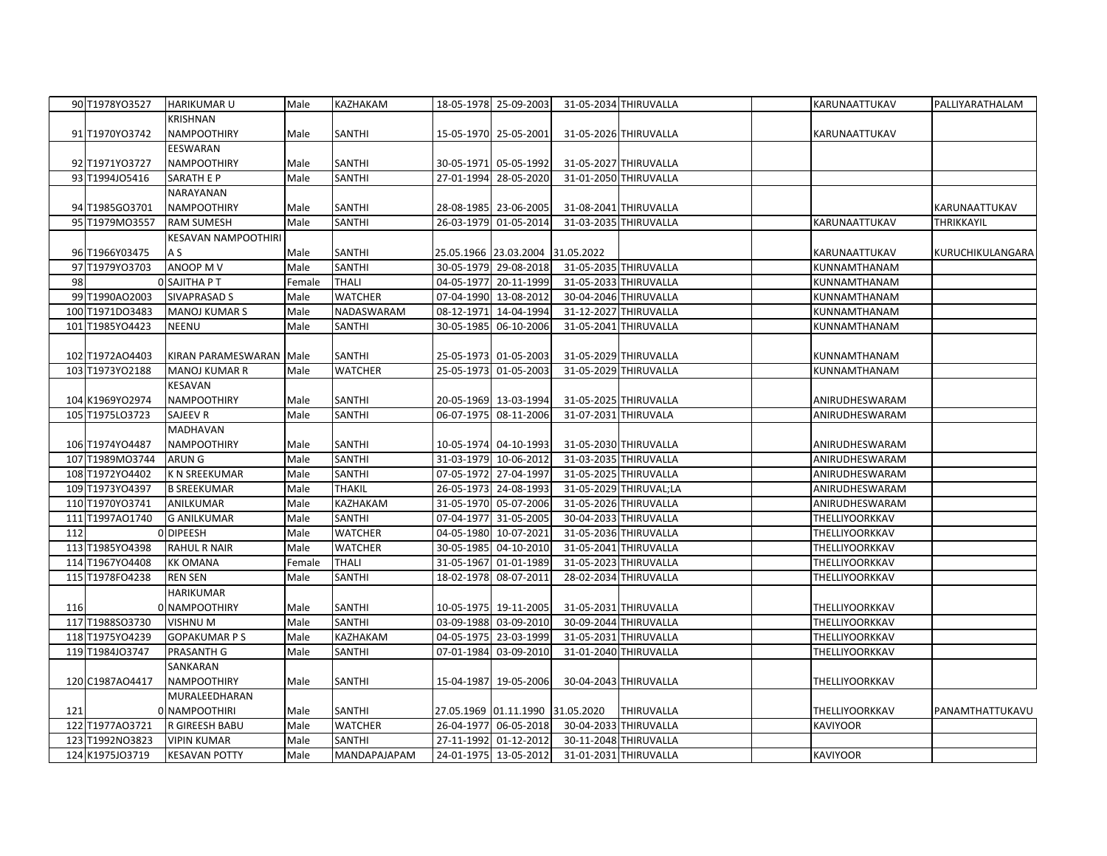|     | 90 T1978YO3527  | <b>HARIKUMARU</b>          | Male   | KAZHAKAM       |            | 18-05-1978 25-09-2003            |                      | 31-05-2034 THIRUVALLA  | KARUNAATTUKAV   | PALLIYARATHALAM  |
|-----|-----------------|----------------------------|--------|----------------|------------|----------------------------------|----------------------|------------------------|-----------------|------------------|
|     |                 | KRISHNAN                   |        |                |            |                                  |                      |                        |                 |                  |
|     | 91 T1970YO3742  | NAMPOOTHIRY                | Male   | SANTHI         |            | 15-05-1970 25-05-2001            |                      | 31-05-2026 THIRUVALLA  | KARUNAATTUKAV   |                  |
|     |                 | EESWARAN                   |        |                |            |                                  |                      |                        |                 |                  |
|     | 92 T1971YO3727  | NAMPOOTHIRY                | Male   | <b>SANTHI</b>  |            | 30-05-1971 05-05-1992            |                      | 31-05-2027 THIRUVALLA  |                 |                  |
|     | 93 T1994J05416  | SARATH E P                 | Male   | SANTHI         |            | 27-01-1994 28-05-2020            |                      | 31-01-2050 THIRUVALLA  |                 |                  |
|     |                 | NARAYANAN                  |        |                |            |                                  |                      |                        |                 |                  |
|     | 94 T1985GO3701  | <b>NAMPOOTHIRY</b>         | Male   | <b>SANTHI</b>  |            | 28-08-1985 23-06-2005            |                      | 31-08-2041 THIRUVALLA  |                 | KARUNAATTUKAV    |
|     | 95 T1979MO3557  | <b>RAM SUMESH</b>          | Male   | SANTHI         |            | 26-03-1979 01-05-2014            |                      | 31-03-2035 THIRUVALLA  | KARUNAATTUKAV   | THRIKKAYIL       |
|     |                 | <b>KESAVAN NAMPOOTHIRI</b> |        |                |            |                                  |                      |                        |                 |                  |
|     | 96 T1966Y03475  | A S                        | Male   | SANTHI         |            | 25.05.1966 23.03.2004 31.05.2022 |                      |                        |                 |                  |
|     |                 |                            |        | SANTHI         |            |                                  |                      |                        | KARUNAATTUKAV   | KURUCHIKULANGARA |
|     | 97 T1979YO3703  | ANOOP M V                  | Male   |                |            | 30-05-1979 29-08-2018            |                      | 31-05-2035 THIRUVALLA  | KUNNAMTHANAM    |                  |
| 98  |                 | O SAJITHA P T              | Female | <b>THALI</b>   |            | 04-05-1977 20-11-1999            |                      | 31-05-2033 THIRUVALLA  | KUNNAMTHANAM    |                  |
|     | 99 T1990AO2003  | <b>SIVAPRASAD S</b>        | Male   | <b>WATCHER</b> |            | 07-04-1990 13-08-2012            |                      | 30-04-2046 THIRUVALLA  | KUNNAMTHANAM    |                  |
|     | 100 T1971DO3483 | <b>MANOJ KUMAR S</b>       | Male   | NADASWARAM     |            | 08-12-1971 14-04-1994            |                      | 31-12-2027 THIRUVALLA  | KUNNAMTHANAM    |                  |
|     | 101 T1985YO4423 | <b>NEENU</b>               | Male   | SANTHI         |            | 30-05-1985 06-10-2006            |                      | 31-05-2041 THIRUVALLA  | KUNNAMTHANAM    |                  |
|     |                 |                            |        |                |            |                                  |                      |                        |                 |                  |
|     | 102 T1972AO4403 | KIRAN PARAMESWARAN Male    |        | SANTHI         |            | 25-05-1973 01-05-2003            |                      | 31-05-2029 THIRUVALLA  | KUNNAMTHANAM    |                  |
|     | 103 T1973YO2188 | <b>MANOJ KUMAR R</b>       | Male   | <b>WATCHER</b> |            | 25-05-1973 01-05-2003            |                      | 31-05-2029 THIRUVALLA  | KUNNAMTHANAM    |                  |
|     |                 | KESAVAN                    |        |                |            |                                  |                      |                        |                 |                  |
|     | 104 K1969YO2974 | <b>NAMPOOTHIRY</b>         | Male   | <b>SANTHI</b>  |            | 20-05-1969 13-03-1994            |                      | 31-05-2025 THIRUVALLA  | ANIRUDHESWARAM  |                  |
|     | 105 T1975LO3723 | SAJEEV R                   | Male   | SANTHI         |            | 06-07-1975 08-11-2006            | 31-07-2031 THIRUVALA |                        | ANIRUDHESWARAM  |                  |
|     |                 | MADHAVAN                   |        |                |            |                                  |                      |                        |                 |                  |
|     | 106 T1974YO4487 | NAMPOOTHIRY                | Male   | <b>SANTHI</b>  |            | 10-05-1974 04-10-1993            |                      | 31-05-2030 THIRUVALLA  | ANIRUDHESWARAM  |                  |
|     | 107 T1989MO3744 | <b>ARUNG</b>               | Male   | SANTHI         |            | 31-03-1979 10-06-2012            |                      | 31-03-2035 THIRUVALLA  | ANIRUDHESWARAM  |                  |
|     | 108 T1972YO4402 | <b>K N SREEKUMAR</b>       | Male   | SANTHI         |            | 07-05-1972 27-04-1997            |                      | 31-05-2025 THIRUVALLA  | ANIRUDHESWARAM  |                  |
|     | 109 T1973YO4397 | <b>B SREEKUMAR</b>         | Male   | THAKIL         |            | 26-05-1973 24-08-1993            |                      | 31-05-2029 THIRUVAL;LA | ANIRUDHESWARAM  |                  |
|     | 110 T1970YO3741 | ANILKUMAR                  | Male   | KAZHAKAM       |            | 31-05-1970 05-07-2006            |                      | 31-05-2026 THIRUVALLA  | ANIRUDHESWARAM  |                  |
|     | 111 T1997AO1740 | <b>G ANILKUMAR</b>         | Male   | SANTHI         |            | 07-04-1977 31-05-2005            |                      | 30-04-2033 THIRUVALLA  | THELLIYOORKKAV  |                  |
| 112 |                 | 0DIPEESH                   | Male   | <b>WATCHER</b> |            | 04-05-1980 10-07-2021            |                      | 31-05-2036 THIRUVALLA  | THELLIYOORKKAV  |                  |
|     | 113 T1985YO4398 | <b>RAHUL R NAIR</b>        | Male   | <b>WATCHER</b> |            | 30-05-1985 04-10-2010            |                      | 31-05-2041 THIRUVALLA  | THELLIYOORKKAV  |                  |
|     | 114 T1967YO4408 | <b>KK OMANA</b>            | Female | <b>THALI</b>   |            | 31-05-1967 01-01-1989            |                      | 31-05-2023 THIRUVALLA  | THELLIYOORKKAV  |                  |
|     | 115 T1978FO4238 | <b>REN SEN</b>             | Male   | SANTHI         | 18-02-1978 | 08-07-2011                       |                      | 28-02-2034 THIRUVALLA  | THELLIYOORKKAV  |                  |
|     |                 | HARIKUMAR                  |        |                |            |                                  |                      |                        |                 |                  |
| 116 |                 | 0 NAMPOOTHIRY              | Male   | <b>SANTHI</b>  |            | 10-05-1975 19-11-2005            |                      | 31-05-2031 THIRUVALLA  | THELLIYOORKKAV  |                  |
|     | 117 T1988SO3730 | VISHNU M                   | Male   | <b>SANTHI</b>  |            | 03-09-1988 03-09-2010            |                      | 30-09-2044 THIRUVALLA  | THELLIYOORKKAV  |                  |
|     |                 |                            |        |                |            |                                  |                      |                        |                 |                  |
|     | 118 T1975YO4239 | <b>GOPAKUMAR PS</b>        | Male   | KAZHAKAM       |            | 04-05-1975 23-03-1999            |                      | 31-05-2031 THIRUVALLA  | THELLIYOORKKAV  |                  |
|     | 119 T1984J03747 | PRASANTH G                 | Male   | SANTHI         |            | 07-01-1984 03-09-2010            |                      | 31-01-2040 THIRUVALLA  | THELLIYOORKKAV  |                  |
|     |                 | SANKARAN                   |        |                |            |                                  |                      |                        |                 |                  |
|     | 120 C1987AO4417 | NAMPOOTHIRY                | Male   | <b>SANTHI</b>  |            | 15-04-1987 19-05-2006            |                      | 30-04-2043 THIRUVALLA  | THELLIYOORKKAV  |                  |
|     |                 | MURALEEDHARAN              |        |                |            |                                  |                      |                        |                 |                  |
| 121 |                 | 0 NAMPOOTHIRI              | Male   | SANTHI         |            | 27.05.1969 01.11.1990 31.05.2020 |                      | <b>THIRUVALLA</b>      | THELLIYOORKKAV  | PANAMTHATTUKAVU  |
|     | 122 T1977A03721 | R GIREESH BABU             | Male   | <b>WATCHER</b> |            | 26-04-1977 06-05-2018            |                      | 30-04-2033 THIRUVALLA  | <b>KAVIYOOR</b> |                  |
|     | 123 T1992NO3823 | <b>VIPIN KUMAR</b>         | Male   | SANTHI         |            | 27-11-1992 01-12-2012            |                      | 30-11-2048 THIRUVALLA  |                 |                  |
|     | 124 K1975JO3719 | <b>KESAVAN POTTY</b>       | Male   | MANDAPAJAPAM   |            | 24-01-1975 13-05-2012            |                      | 31-01-2031 THIRUVALLA  | <b>KAVIYOOR</b> |                  |